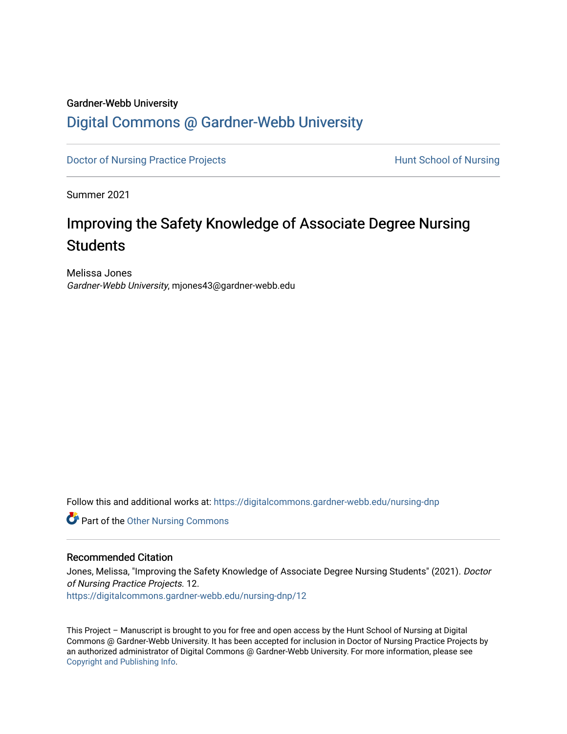### Gardner-Webb University

# [Digital Commons @ Gardner-Webb University](https://digitalcommons.gardner-webb.edu/)

[Doctor of Nursing Practice Projects](https://digitalcommons.gardner-webb.edu/nursing-dnp) **Exercise Exercise Serverse Hunt School of Nursing** 

Summer 2021

# Improving the Safety Knowledge of Associate Degree Nursing **Students**

Melissa Jones Gardner-Webb University, mjones43@gardner-webb.edu

Follow this and additional works at: [https://digitalcommons.gardner-webb.edu/nursing-dnp](https://digitalcommons.gardner-webb.edu/nursing-dnp?utm_source=digitalcommons.gardner-webb.edu%2Fnursing-dnp%2F12&utm_medium=PDF&utm_campaign=PDFCoverPages) 

Part of the [Other Nursing Commons](http://network.bepress.com/hgg/discipline/729?utm_source=digitalcommons.gardner-webb.edu%2Fnursing-dnp%2F12&utm_medium=PDF&utm_campaign=PDFCoverPages)

## Recommended Citation

Jones, Melissa, "Improving the Safety Knowledge of Associate Degree Nursing Students" (2021). Doctor of Nursing Practice Projects. 12. [https://digitalcommons.gardner-webb.edu/nursing-dnp/12](https://digitalcommons.gardner-webb.edu/nursing-dnp/12?utm_source=digitalcommons.gardner-webb.edu%2Fnursing-dnp%2F12&utm_medium=PDF&utm_campaign=PDFCoverPages)

This Project – Manuscript is brought to you for free and open access by the Hunt School of Nursing at Digital Commons @ Gardner-Webb University. It has been accepted for inclusion in Doctor of Nursing Practice Projects by an authorized administrator of Digital Commons @ Gardner-Webb University. For more information, please see [Copyright and Publishing Info.](https://digitalcommons.gardner-webb.edu/copyright_publishing.html)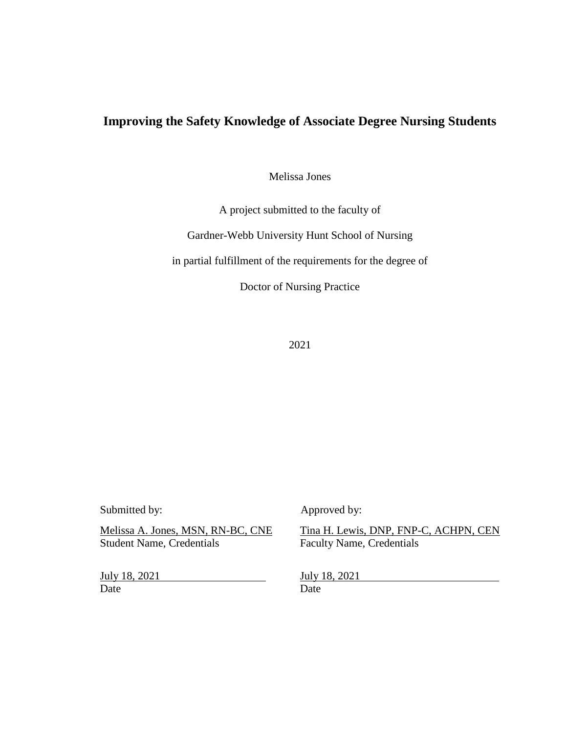# **Improving the Safety Knowledge of Associate Degree Nursing Students**

Melissa Jones

A project submitted to the faculty of

Gardner-Webb University Hunt School of Nursing

in partial fulfillment of the requirements for the degree of

Doctor of Nursing Practice

2021

July 18, 2021 **July 18, 2021** Date Date Date

Submitted by: Approved by:

Melissa A. Jones, MSN, RN-BC, CNE<br>Student Name, Credentials Faculty Name, Credentials Faculty Name, Credentials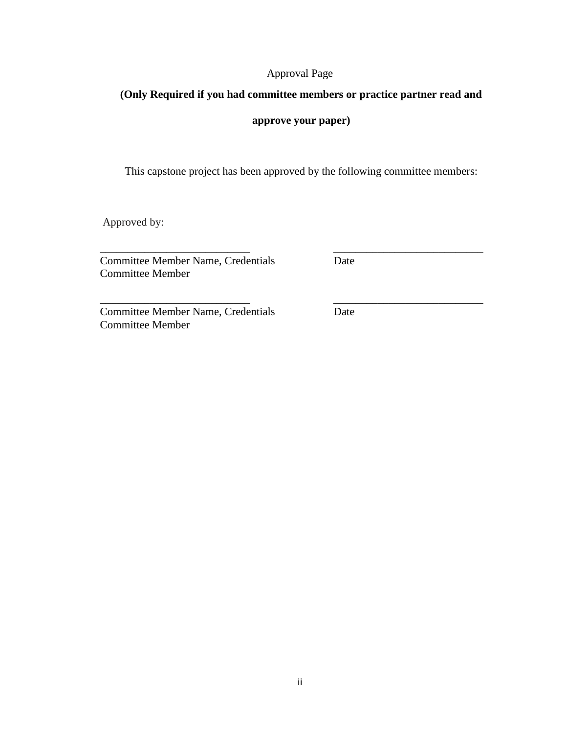## Approval Page

# **(Only Required if you had committee members or practice partner read and**

## **approve your paper)**

This capstone project has been approved by the following committee members:

\_\_\_\_\_\_\_\_\_\_\_\_\_\_\_\_\_\_\_\_\_\_\_\_\_\_\_ \_\_\_\_\_\_\_\_\_\_\_\_\_\_\_\_\_\_\_\_\_\_\_\_\_\_\_

Approved by:

\_\_\_\_\_\_\_\_\_\_\_\_\_\_\_\_\_\_\_\_\_\_\_\_\_\_\_ \_\_\_\_\_\_\_\_\_\_\_\_\_\_\_\_\_\_\_\_\_\_\_\_\_\_\_ **Committee Member Name, Credentials Date** Committee Member

Committee Member Name, Credentials Date Committee Member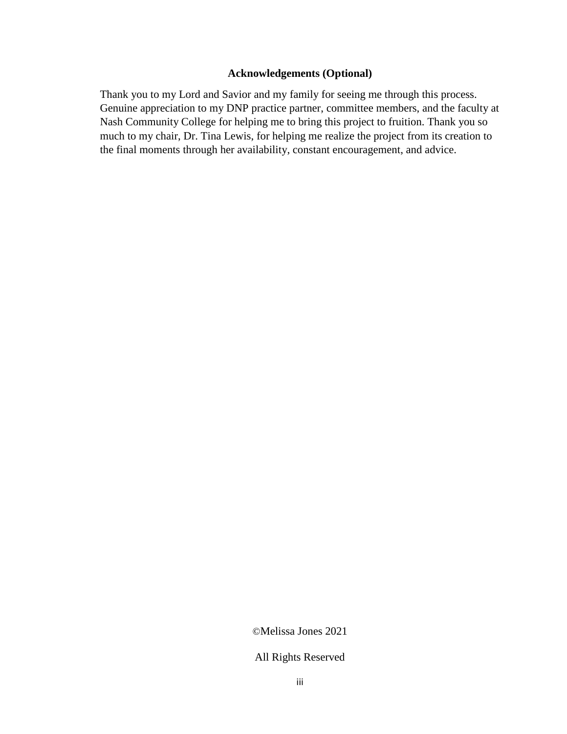## **Acknowledgements (Optional)**

Thank you to my Lord and Savior and my family for seeing me through this process. Genuine appreciation to my DNP practice partner, committee members, and the faculty at Nash Community College for helping me to bring this project to fruition. Thank you so much to my chair, Dr. Tina Lewis, for helping me realize the project from its creation to the final moments through her availability, constant encouragement, and advice.

©Melissa Jones 2021

All Rights Reserved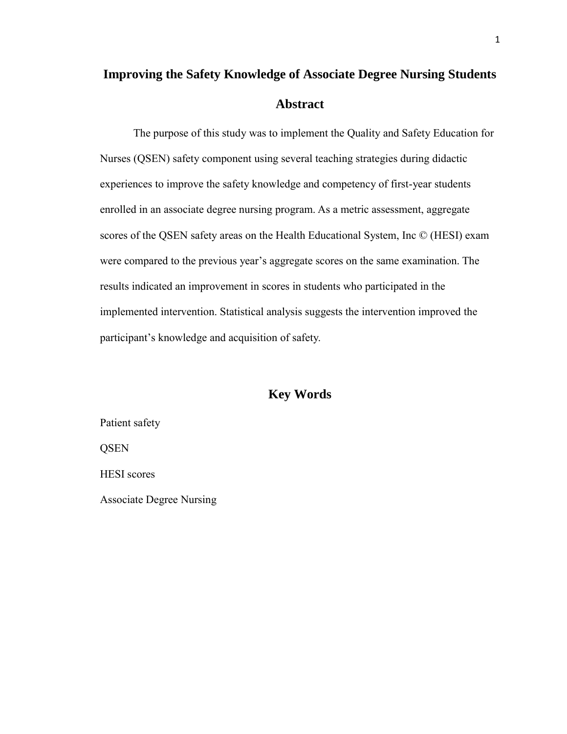# **Improving the Safety Knowledge of Associate Degree Nursing Students Abstract**

The purpose of this study was to implement the Quality and Safety Education for Nurses (QSEN) safety component using several teaching strategies during didactic experiences to improve the safety knowledge and competency of first-year students enrolled in an associate degree nursing program. As a metric assessment, aggregate scores of the QSEN safety areas on the Health Educational System, Inc © (HESI) exam were compared to the previous year's aggregate scores on the same examination. The results indicated an improvement in scores in students who participated in the implemented intervention. Statistical analysis suggests the intervention improved the participant's knowledge and acquisition of safety.

## **Key Words**

Patient safety **QSEN** HESI scores Associate Degree Nursing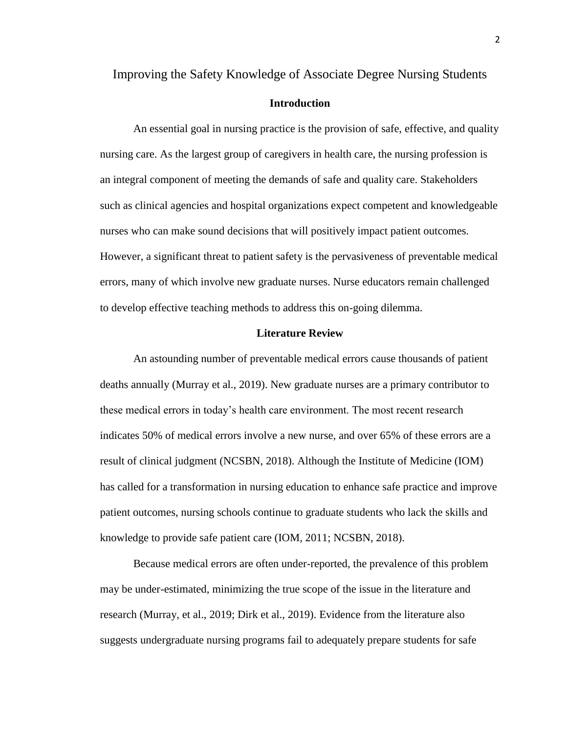## Improving the Safety Knowledge of Associate Degree Nursing Students

## **Introduction**

An essential goal in nursing practice is the provision of safe, effective, and quality nursing care. As the largest group of caregivers in health care, the nursing profession is an integral component of meeting the demands of safe and quality care. Stakeholders such as clinical agencies and hospital organizations expect competent and knowledgeable nurses who can make sound decisions that will positively impact patient outcomes. However, a significant threat to patient safety is the pervasiveness of preventable medical errors, many of which involve new graduate nurses. Nurse educators remain challenged to develop effective teaching methods to address this on-going dilemma.

## **Literature Review**

An astounding number of preventable medical errors cause thousands of patient deaths annually (Murray et al., 2019). New graduate nurses are a primary contributor to these medical errors in today's health care environment. The most recent research indicates 50% of medical errors involve a new nurse, and over 65% of these errors are a result of clinical judgment (NCSBN, 2018). Although the Institute of Medicine (IOM) has called for a transformation in nursing education to enhance safe practice and improve patient outcomes, nursing schools continue to graduate students who lack the skills and knowledge to provide safe patient care (IOM, 2011; NCSBN, 2018).

Because medical errors are often under-reported, the prevalence of this problem may be under-estimated, minimizing the true scope of the issue in the literature and research (Murray, et al., 2019; Dirk et al., 2019). Evidence from the literature also suggests undergraduate nursing programs fail to adequately prepare students for safe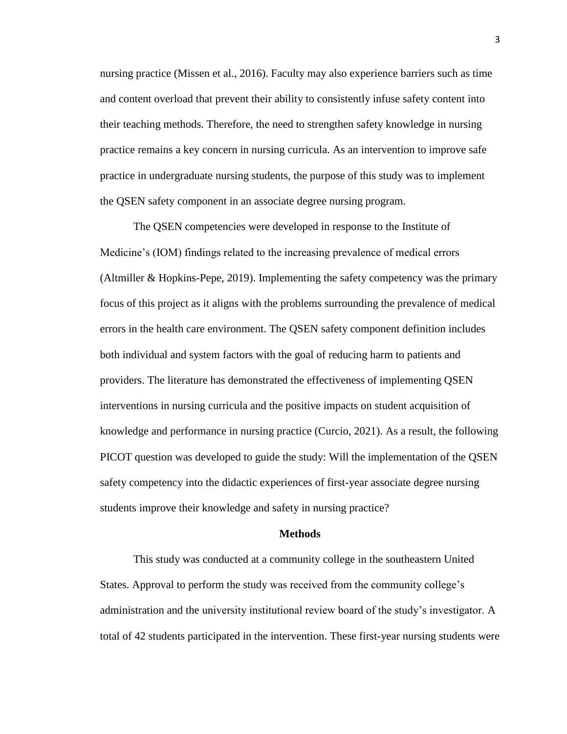nursing practice (Missen et al., 2016). Faculty may also experience barriers such as time and content overload that prevent their ability to consistently infuse safety content into their teaching methods. Therefore, the need to strengthen safety knowledge in nursing practice remains a key concern in nursing curricula. As an intervention to improve safe practice in undergraduate nursing students, the purpose of this study was to implement the QSEN safety component in an associate degree nursing program.

The QSEN competencies were developed in response to the Institute of Medicine's (IOM) findings related to the increasing prevalence of medical errors (Altmiller & Hopkins-Pepe, 2019). Implementing the safety competency was the primary focus of this project as it aligns with the problems surrounding the prevalence of medical errors in the health care environment. The QSEN safety component definition includes both individual and system factors with the goal of reducing harm to patients and providers. The literature has demonstrated the effectiveness of implementing QSEN interventions in nursing curricula and the positive impacts on student acquisition of knowledge and performance in nursing practice (Curcio, 2021). As a result, the following PICOT question was developed to guide the study: Will the implementation of the QSEN safety competency into the didactic experiences of first-year associate degree nursing students improve their knowledge and safety in nursing practice?

#### **Methods**

This study was conducted at a community college in the southeastern United States. Approval to perform the study was received from the community college's administration and the university institutional review board of the study's investigator. A total of 42 students participated in the intervention. These first-year nursing students were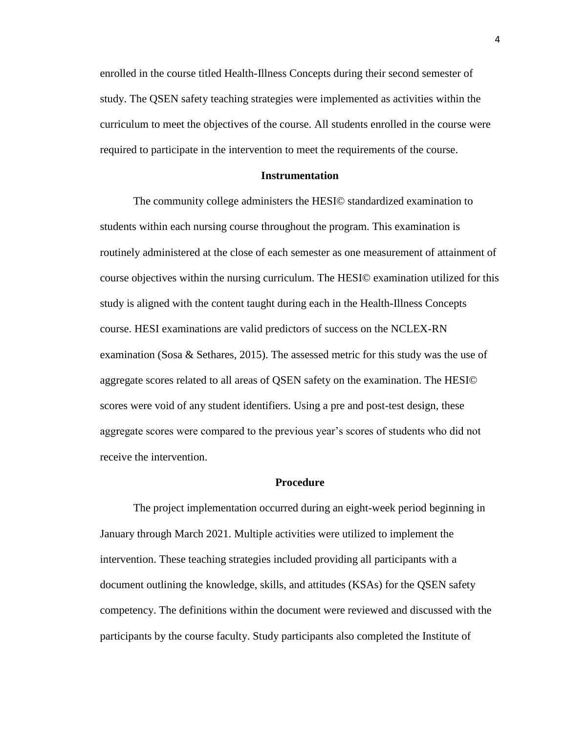enrolled in the course titled Health-Illness Concepts during their second semester of study. The QSEN safety teaching strategies were implemented as activities within the curriculum to meet the objectives of the course. All students enrolled in the course were required to participate in the intervention to meet the requirements of the course.

#### **Instrumentation**

The community college administers the HESI© standardized examination to students within each nursing course throughout the program. This examination is routinely administered at the close of each semester as one measurement of attainment of course objectives within the nursing curriculum. The HESI© examination utilized for this study is aligned with the content taught during each in the Health-Illness Concepts course. HESI examinations are valid predictors of success on the NCLEX-RN examination (Sosa & Sethares, 2015). The assessed metric for this study was the use of aggregate scores related to all areas of QSEN safety on the examination. The HESI© scores were void of any student identifiers. Using a pre and post-test design, these aggregate scores were compared to the previous year's scores of students who did not receive the intervention.

#### **Procedure**

The project implementation occurred during an eight-week period beginning in January through March 2021. Multiple activities were utilized to implement the intervention. These teaching strategies included providing all participants with a document outlining the knowledge, skills, and attitudes (KSAs) for the QSEN safety competency. The definitions within the document were reviewed and discussed with the participants by the course faculty. Study participants also completed the Institute of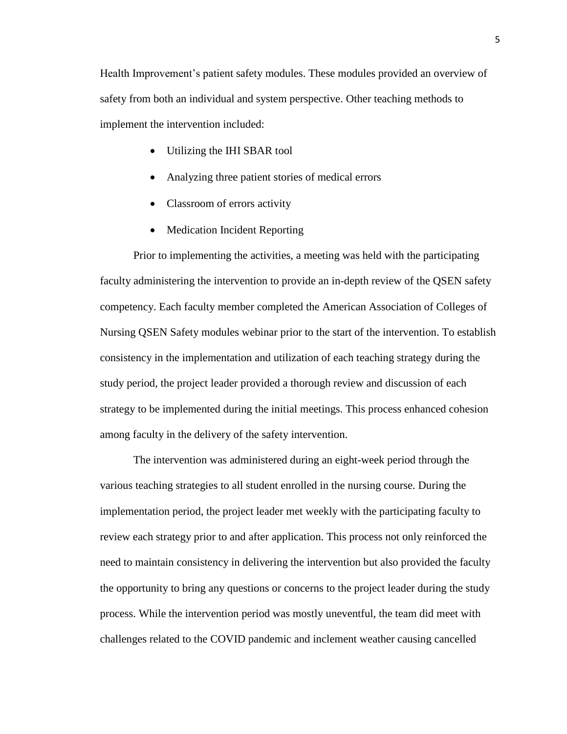Health Improvement's patient safety modules. These modules provided an overview of safety from both an individual and system perspective. Other teaching methods to implement the intervention included:

- Utilizing the IHI SBAR tool
- Analyzing three patient stories of medical errors
- Classroom of errors activity
- Medication Incident Reporting

Prior to implementing the activities, a meeting was held with the participating faculty administering the intervention to provide an in-depth review of the QSEN safety competency. Each faculty member completed the American Association of Colleges of Nursing QSEN Safety modules webinar prior to the start of the intervention. To establish consistency in the implementation and utilization of each teaching strategy during the study period, the project leader provided a thorough review and discussion of each strategy to be implemented during the initial meetings. This process enhanced cohesion among faculty in the delivery of the safety intervention.

The intervention was administered during an eight-week period through the various teaching strategies to all student enrolled in the nursing course. During the implementation period, the project leader met weekly with the participating faculty to review each strategy prior to and after application. This process not only reinforced the need to maintain consistency in delivering the intervention but also provided the faculty the opportunity to bring any questions or concerns to the project leader during the study process. While the intervention period was mostly uneventful, the team did meet with challenges related to the COVID pandemic and inclement weather causing cancelled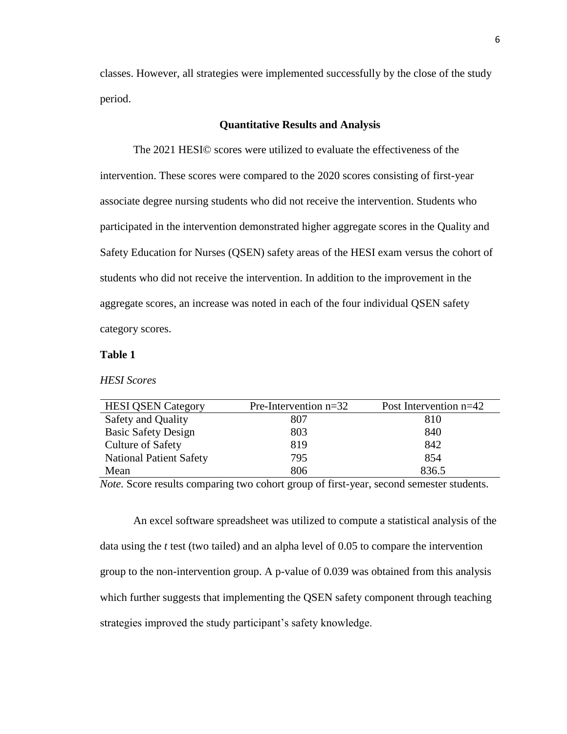classes. However, all strategies were implemented successfully by the close of the study period.

### **Quantitative Results and Analysis**

The 2021 HESI© scores were utilized to evaluate the effectiveness of the intervention. These scores were compared to the 2020 scores consisting of first-year associate degree nursing students who did not receive the intervention. Students who participated in the intervention demonstrated higher aggregate scores in the Quality and Safety Education for Nurses (QSEN) safety areas of the HESI exam versus the cohort of students who did not receive the intervention. In addition to the improvement in the aggregate scores, an increase was noted in each of the four individual QSEN safety category scores.

### **Table 1**

*HESI Scores*

| <b>HESI QSEN Category</b>      | Pre-Intervention $n=32$ | Post Intervention $n=42$ |
|--------------------------------|-------------------------|--------------------------|
| Safety and Quality             | 807                     | 810                      |
| <b>Basic Safety Design</b>     | 803                     | 840                      |
| <b>Culture of Safety</b>       | 819                     | 842                      |
| <b>National Patient Safety</b> | 795                     | 854                      |
| Mean                           | 806                     | 836.5                    |

*Note.* Score results comparing two cohort group of first-year, second semester students.

An excel software spreadsheet was utilized to compute a statistical analysis of the data using the *t* test (two tailed) and an alpha level of 0.05 to compare the intervention group to the non-intervention group. A p-value of 0.039 was obtained from this analysis which further suggests that implementing the QSEN safety component through teaching strategies improved the study participant's safety knowledge.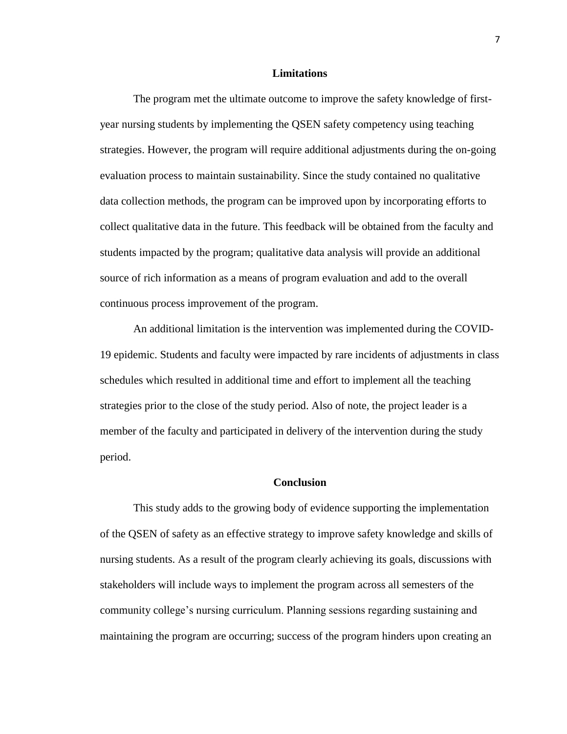#### **Limitations**

The program met the ultimate outcome to improve the safety knowledge of firstyear nursing students by implementing the QSEN safety competency using teaching strategies. However, the program will require additional adjustments during the on-going evaluation process to maintain sustainability. Since the study contained no qualitative data collection methods, the program can be improved upon by incorporating efforts to collect qualitative data in the future. This feedback will be obtained from the faculty and students impacted by the program; qualitative data analysis will provide an additional source of rich information as a means of program evaluation and add to the overall continuous process improvement of the program.

An additional limitation is the intervention was implemented during the COVID-19 epidemic. Students and faculty were impacted by rare incidents of adjustments in class schedules which resulted in additional time and effort to implement all the teaching strategies prior to the close of the study period. Also of note, the project leader is a member of the faculty and participated in delivery of the intervention during the study period.

#### **Conclusion**

This study adds to the growing body of evidence supporting the implementation of the QSEN of safety as an effective strategy to improve safety knowledge and skills of nursing students. As a result of the program clearly achieving its goals, discussions with stakeholders will include ways to implement the program across all semesters of the community college's nursing curriculum. Planning sessions regarding sustaining and maintaining the program are occurring; success of the program hinders upon creating an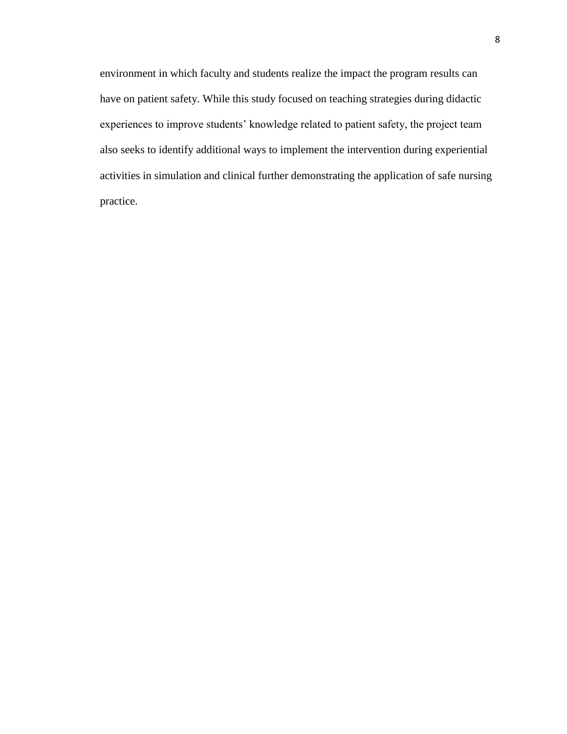environment in which faculty and students realize the impact the program results can have on patient safety. While this study focused on teaching strategies during didactic experiences to improve students' knowledge related to patient safety, the project team also seeks to identify additional ways to implement the intervention during experiential activities in simulation and clinical further demonstrating the application of safe nursing practice.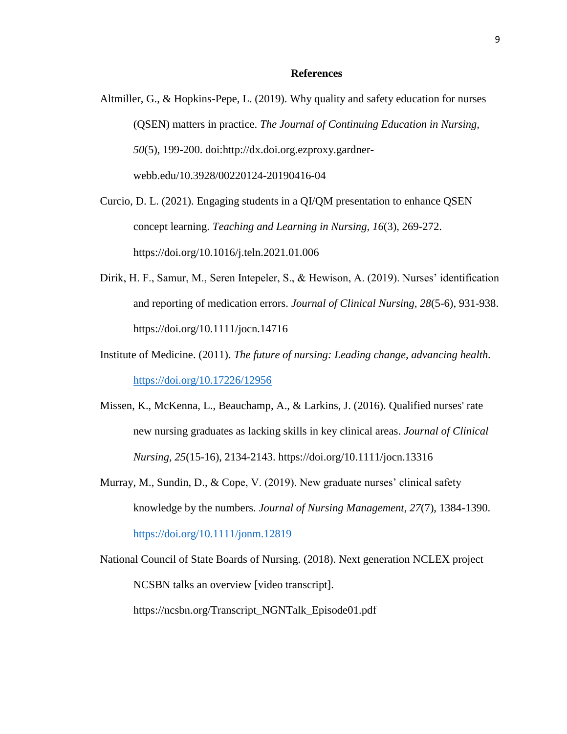#### **References**

Altmiller, G., & Hopkins-Pepe, L. (2019). Why quality and safety education for nurses (QSEN) matters in practice. *The Journal of Continuing Education in Nursing, 50*(5), 199-200. doi:http://dx.doi.org.ezproxy.gardnerwebb.edu/10.3928/00220124-20190416-04

Curcio, D. L. (2021). Engaging students in a QI/QM presentation to enhance QSEN concept learning. *Teaching and Learning in Nursing, 16*(3), 269-272. https://doi.org/10.1016/j.teln.2021.01.006

- Dirik, H. F., Samur, M., Seren Intepeler, S., & Hewison, A. (2019). Nurses' identification and reporting of medication errors. *Journal of Clinical Nursing, 28*(5-6), 931-938. https://doi.org/10.1111/jocn.14716
- Institute of Medicine. (2011). *The future of nursing: Leading change, advancing health.* <https://doi.org/10.17226/12956>
- Missen, K., McKenna, L., Beauchamp, A., & Larkins, J. (2016). Qualified nurses' rate new nursing graduates as lacking skills in key clinical areas. *Journal of Clinical Nursing, 25*(15-16), 2134-2143. https://doi.org/10.1111/jocn.13316
- Murray, M., Sundin, D., & Cope, V. (2019). New graduate nurses' clinical safety knowledge by the numbers. *Journal of Nursing Management, 27*(7), 1384-1390. <https://doi.org/10.1111/jonm.12819>
- National Council of State Boards of Nursing. (2018). Next generation NCLEX project NCSBN talks an overview [video transcript]. https://ncsbn.org/Transcript\_NGNTalk\_Episode01.pdf